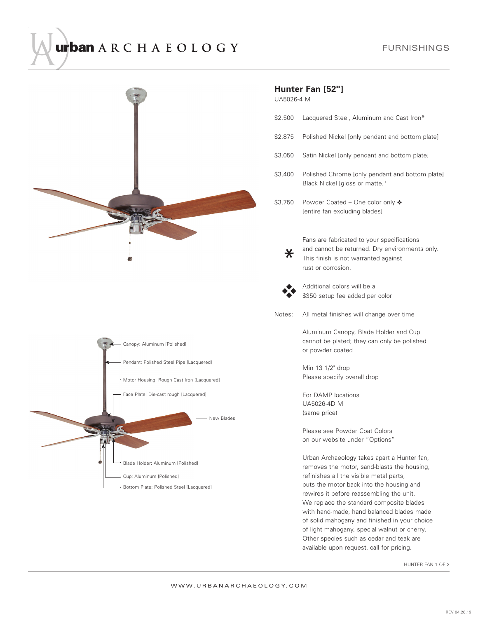## urban ARCHAEOLOGY



## **Hunter Fan [52"]**

UA5026-4 M

- \$2,500 Lacquered Steel, Aluminum and Cast Iron\*
- \$2,875 Polished Nickel [only pendant and bottom plate]
- \$3,050 Satin Nickel [only pendant and bottom plate]
- \$3,400 Polished Chrome [only pendant and bottom plate] Black Nickel [gloss or matte]\*
- \$3,750 Powder Coated One color only ❖ [entire fan excluding blades]
	- Fans are fabricated to your specifications and cannot be returned. Dry environments only. This finish is not warranted against rust or corrosion.



Additional colors will be a \$350 setup fee added per color

Notes: All metal finishes will change over time

Aluminum Canopy, Blade Holder and Cup cannot be plated; they can only be polished or powder coated

Min 13 1/2" drop Please specify overall drop

For DAMP locations UA5026-4D M (same price)

Please see Powder Coat Colors on our website under "Options"

Urban Archaeology takes apart a Hunter fan, removes the motor, sand-blasts the housing, refinishes all the visible metal parts, puts the motor back into the housing and rewires it before reassembling the unit. We replace the standard composite blades with hand-made, hand balanced blades made of solid mahogany and finished in your choice of light mahogany, special walnut or cherry. Other species such as cedar and teak are available upon request, call for pricing.

HUNTER FAN 1 OF 2